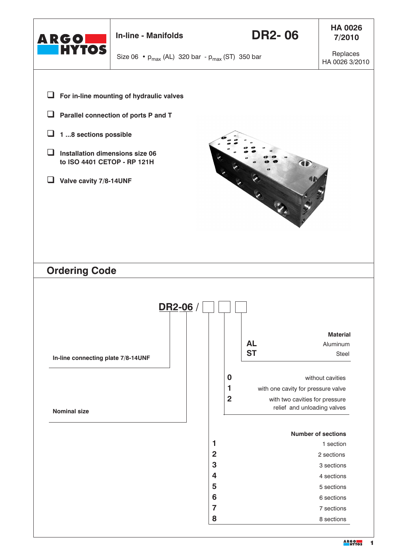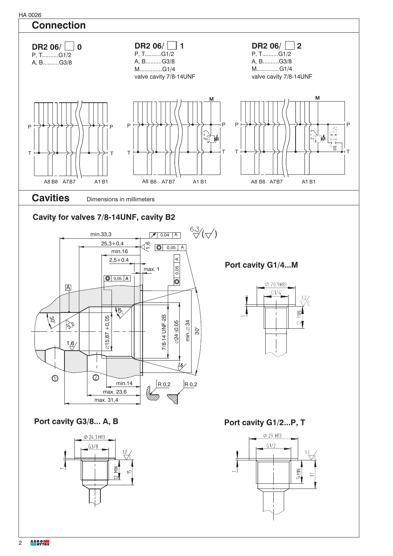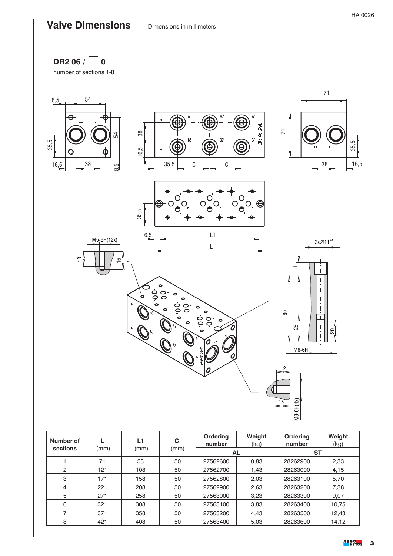DR2 06  $/$  0

number of sections 1-8



| Number of<br>sections | (mm) | L1<br>(mm) | C<br>(mm) | <b>Ordering</b><br>number | Weight<br>(kg) | <b>Ordering</b><br>number | Weight<br>(kg) |
|-----------------------|------|------------|-----------|---------------------------|----------------|---------------------------|----------------|
|                       |      |            |           | <b>AL</b>                 |                | <b>ST</b>                 |                |
|                       | 71   | 58         | 50        | 27562600                  | 0.83           | 28262900                  | 2,33           |
| 2                     | 121  | 108        | 50        | 27562700                  | 1,43           | 28263000                  | 4,15           |
| 3                     | 171  | 158        | 50        | 27562800                  | 2,03           | 28263100                  | 5,70           |
| 4                     | 221  | 208        | 50        | 27562900                  | 2,63           | 28263200                  | 7,38           |
| 5                     | 271  | 258        | 50        | 27563000                  | 3,23           | 28263300                  | 9,07           |
| 6                     | 321  | 308        | 50        | 27563100                  | 3,83           | 28263400                  | 10,75          |
| 7                     | 371  | 358        | 50        | 27563200                  | 4.43           | 28263500                  | 12,43          |
| 8                     | 421  | 408        | 50        | 27563400                  | 5,03           | 28263600                  | 14,12          |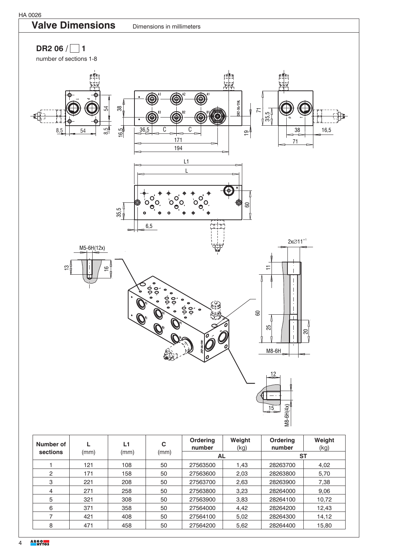



| Number of |      | L1   | C    | <b>Ordering</b><br>number | Weight<br>(kg) | Ordering<br>number | Weight<br>(kg) |
|-----------|------|------|------|---------------------------|----------------|--------------------|----------------|
| sections  | (mm) | (mm) | (mm) | AL                        |                | <b>ST</b>          |                |
|           | 121  | 108  | 50   | 27563500                  | 1,43           | 28263700           | 4,02           |
| 2         | 171  | 158  | 50   | 27563600                  | 2,03           | 28263800           | 5,70           |
| 3         | 221  | 208  | 50   | 27563700                  | 2,63           | 28263900           | 7,38           |
| 4         | 271  | 258  | 50   | 27563800                  | 3,23           | 28264000           | 9,06           |
| 5         | 321  | 308  | 50   | 27563900                  | 3.83           | 28264100           | 10,72          |
| 6         | 371  | 358  | 50   | 27564000                  | 4,42           | 28264200           | 12,43          |
|           | 421  | 408  | 50   | 27564100                  | 5,02           | 28264300           | 14,12          |
| 8         | 471  | 458  | 50   | 27564200                  | 5,62           | 28264400           | 15,80          |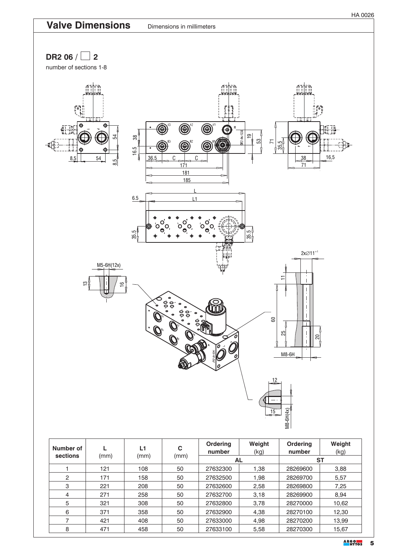

| Number of<br>sections | (mm) | L1<br>(mm) | C<br>(mm) | <b>Ordering</b><br>number | Weight<br>(kg) | <b>Ordering</b><br>number | Weight<br>(kg) |
|-----------------------|------|------------|-----------|---------------------------|----------------|---------------------------|----------------|
|                       |      |            |           | <b>AL</b>                 |                | <b>ST</b>                 |                |
|                       | 121  | 108        | 50        | 27632300                  | 1.38           | 28269600                  | 3,88           |
| $\overline{2}$        | 171  | 158        | 50        | 27632500                  | 1,98           | 28269700                  | 5,57           |
| 3                     | 221  | 208        | 50        | 27632600                  | 2,58           | 28269800                  | 7,25           |
| 4                     | 271  | 258        | 50        | 27632700                  | 3,18           | 28269900                  | 8.94           |
| 5                     | 321  | 308        | 50        | 27632800                  | 3,78           | 28270000                  | 10,62          |
| 6                     | 371  | 358        | 50        | 27632900                  | 4,38           | 28270100                  | 12,30          |
| ⇁                     | 421  | 408        | 50        | 27633000                  | 4,98           | 28270200                  | 13,99          |
| 8                     | 471  | 458        | 50        | 27633100                  | 5,58           | 28270300                  | 15,67          |